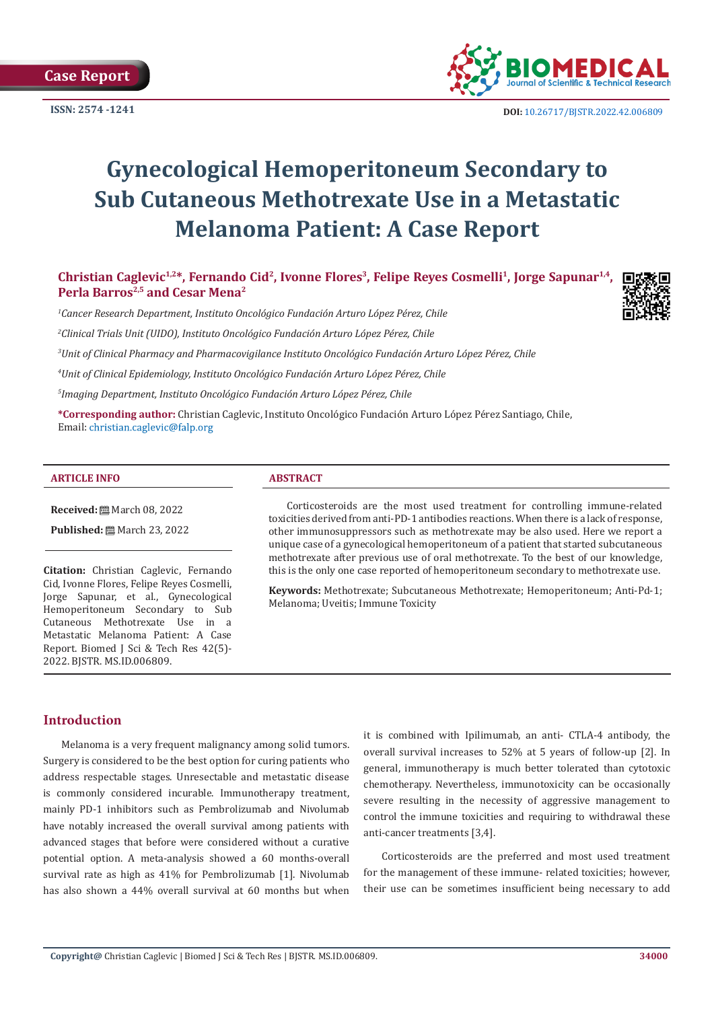

**ISSN:** 2574 -1241 **DOI:** [10.26717/BJSTR.2022.42.006809](https://dx.doi.org/10.26717/BJSTR.2022.42.006809)

# **Gynecological Hemoperitoneum Secondary to Sub Cutaneous Methotrexate Use in a Metastatic Melanoma Patient: A Case Report**

Christian Caglevic<sup>1,2\*</sup>, Fernando Cid<sup>2</sup>, Ivonne Flores<sup>3</sup>, Felipe Reyes Cosmelli<sup>1</sup>, Jorge Sapunar<sup>1,4</sup>, Perla Barros<sup>2,5</sup> and Cesar Mena<sup>2</sup>

*1 Cancer Research Department, Instituto Oncológico Fundación Arturo López Pérez, Chile*

*2 Clinical Trials Unit (UIDO), Instituto Oncológico Fundación Arturo López Pérez, Chile*

*3 Unit of Clinical Pharmacy and Pharmacovigilance Instituto Oncológico Fundación Arturo López Pérez, Chile*

*4 Unit of Clinical Epidemiology, Instituto Oncológico Fundación Arturo López Pérez, Chile*

*5 Imaging Department, Instituto Oncológico Fundación Arturo López Pérez, Chile* 

**\*Corresponding author:** Christian Caglevic, Instituto Oncológico Fundación Arturo López Pérez Santiago, Chile, Email: christian.caglevic@falp.org

#### **ARTICLE INFO ABSTRACT**

**Received:** March 08, 2022

**Published:** ■ March 23, 2022

**Citation:** Christian Caglevic, Fernando Cid, Ivonne Flores, Felipe Reyes Cosmelli, Jorge Sapunar, et al., Gynecological Hemoperitoneum Secondary to Sub Cutaneous Methotrexate Use in a Metastatic Melanoma Patient: A Case Report. Biomed J Sci & Tech Res 42(5)- 2022. BJSTR. MS.ID.006809.

Corticosteroids are the most used treatment for controlling immune-related toxicities derived from anti-PD-1 antibodies reactions. When there is a lack of response, other immunosuppressors such as methotrexate may be also used. Here we report a unique case of a gynecological hemoperitoneum of a patient that started subcutaneous methotrexate after previous use of oral methotrexate. To the best of our knowledge, this is the only one case reported of hemoperitoneum secondary to methotrexate use.

**Keywords:** Methotrexate; Subcutaneous Methotrexate; Hemoperitoneum; Anti-Pd-1; Melanoma; Uveitis; Immune Toxicity

# **Introduction**

Melanoma is a very frequent malignancy among solid tumors. Surgery is considered to be the best option for curing patients who address respectable stages. Unresectable and metastatic disease is commonly considered incurable. Immunotherapy treatment, mainly PD-1 inhibitors such as Pembrolizumab and Nivolumab have notably increased the overall survival among patients with advanced stages that before were considered without a curative potential option. A meta-analysis showed a 60 months-overall survival rate as high as 41% for Pembrolizumab [1]. Nivolumab has also shown a 44% overall survival at 60 months but when

it is combined with Ipilimumab, an anti- CTLA-4 antibody, the overall survival increases to 52% at 5 years of follow-up [2]. In general, immunotherapy is much better tolerated than cytotoxic chemotherapy. Nevertheless, immunotoxicity can be occasionally severe resulting in the necessity of aggressive management to control the immune toxicities and requiring to withdrawal these anti-cancer treatments [3,4].

Corticosteroids are the preferred and most used treatment for the management of these immune- related toxicities; however, their use can be sometimes insufficient being necessary to add

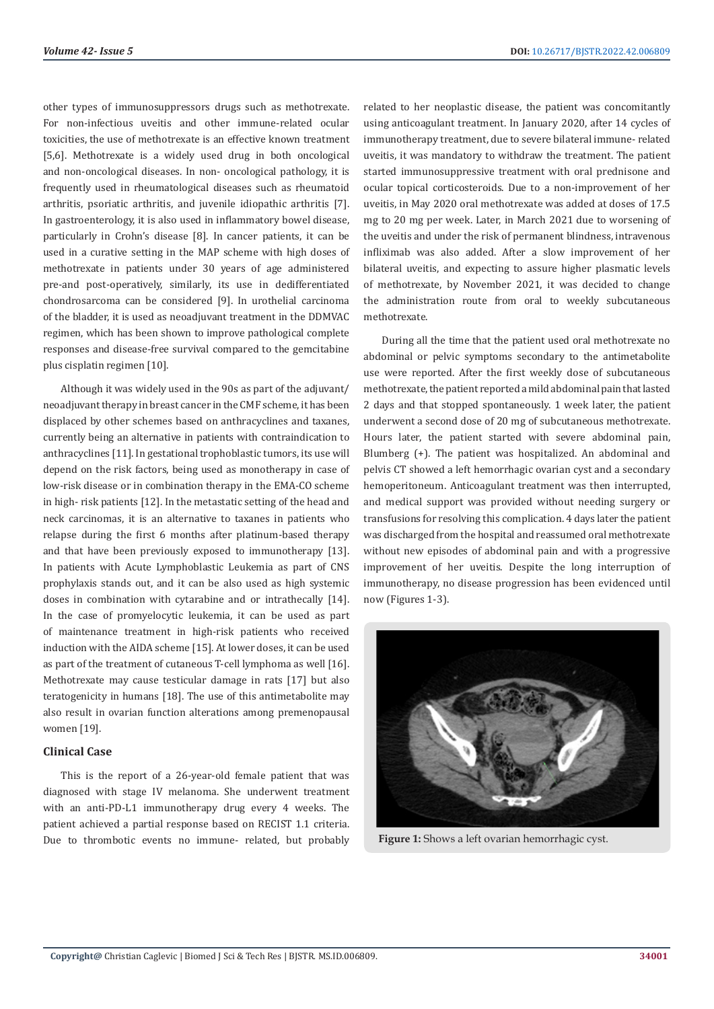other types of immunosuppressors drugs such as methotrexate. For non-infectious uveitis and other immune-related ocular toxicities, the use of methotrexate is an effective known treatment [5,6]. Methotrexate is a widely used drug in both oncological and non-oncological diseases. In non- oncological pathology, it is frequently used in rheumatological diseases such as rheumatoid arthritis, psoriatic arthritis, and juvenile idiopathic arthritis [7]. In gastroenterology, it is also used in inflammatory bowel disease, particularly in Crohn's disease [8]. In cancer patients, it can be used in a curative setting in the MAP scheme with high doses of methotrexate in patients under 30 years of age administered pre-and post-operatively, similarly, its use in dedifferentiated chondrosarcoma can be considered [9]. In urothelial carcinoma of the bladder, it is used as neoadjuvant treatment in the DDMVAC regimen, which has been shown to improve pathological complete responses and disease-free survival compared to the gemcitabine plus cisplatin regimen [10].

Although it was widely used in the 90s as part of the adjuvant/ neoadjuvant therapy in breast cancer in the CMF scheme, it has been displaced by other schemes based on anthracyclines and taxanes, currently being an alternative in patients with contraindication to anthracyclines [11]. In gestational trophoblastic tumors, its use will depend on the risk factors, being used as monotherapy in case of low-risk disease or in combination therapy in the EMA-CO scheme in high- risk patients [12]. In the metastatic setting of the head and neck carcinomas, it is an alternative to taxanes in patients who relapse during the first 6 months after platinum-based therapy and that have been previously exposed to immunotherapy [13]. In patients with Acute Lymphoblastic Leukemia as part of CNS prophylaxis stands out, and it can be also used as high systemic doses in combination with cytarabine and or intrathecally [14]. In the case of promyelocytic leukemia, it can be used as part of maintenance treatment in high-risk patients who received induction with the AIDA scheme [15]. At lower doses, it can be used as part of the treatment of cutaneous T-cell lymphoma as well [16]. Methotrexate may cause testicular damage in rats [17] but also teratogenicity in humans [18]. The use of this antimetabolite may also result in ovarian function alterations among premenopausal women [19].

#### **Clinical Case**

This is the report of a 26-year-old female patient that was diagnosed with stage IV melanoma. She underwent treatment with an anti-PD-L1 immunotherapy drug every 4 weeks. The patient achieved a partial response based on RECIST 1.1 criteria. Due to thrombotic events no immune- related, but probably related to her neoplastic disease, the patient was concomitantly using anticoagulant treatment. In January 2020, after 14 cycles of immunotherapy treatment, due to severe bilateral immune- related uveitis, it was mandatory to withdraw the treatment. The patient started immunosuppressive treatment with oral prednisone and ocular topical corticosteroids. Due to a non-improvement of her uveitis, in May 2020 oral methotrexate was added at doses of 17.5 mg to 20 mg per week. Later, in March 2021 due to worsening of the uveitis and under the risk of permanent blindness, intravenous infliximab was also added. After a slow improvement of her bilateral uveitis, and expecting to assure higher plasmatic levels of methotrexate, by November 2021, it was decided to change the administration route from oral to weekly subcutaneous methotrexate.

During all the time that the patient used oral methotrexate no abdominal or pelvic symptoms secondary to the antimetabolite use were reported. After the first weekly dose of subcutaneous methotrexate, the patient reported a mild abdominal pain that lasted 2 days and that stopped spontaneously. 1 week later, the patient underwent a second dose of 20 mg of subcutaneous methotrexate. Hours later, the patient started with severe abdominal pain, Blumberg (+). The patient was hospitalized. An abdominal and pelvis CT showed a left hemorrhagic ovarian cyst and a secondary hemoperitoneum. Anticoagulant treatment was then interrupted, and medical support was provided without needing surgery or transfusions for resolving this complication. 4 days later the patient was discharged from the hospital and reassumed oral methotrexate without new episodes of abdominal pain and with a progressive improvement of her uveitis. Despite the long interruption of immunotherapy, no disease progression has been evidenced until now (Figures 1-3).



**Figure 1:** Shows a left ovarian hemorrhagic cyst.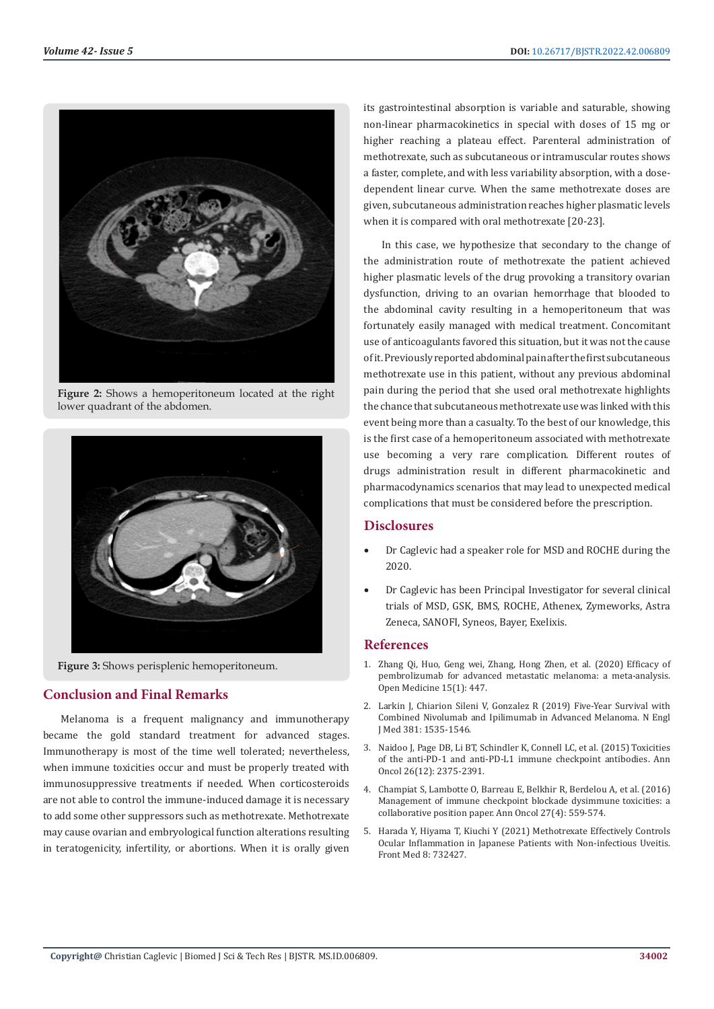

**Figure 2:** Shows a hemoperitoneum located at the right lower quadrant of the abdomen.



**Figure 3:** Shows perisplenic hemoperitoneum.

# **Conclusion and Final Remarks**

Melanoma is a frequent malignancy and immunotherapy became the gold standard treatment for advanced stages. Immunotherapy is most of the time well tolerated; nevertheless, when immune toxicities occur and must be properly treated with immunosuppressive treatments if needed. When corticosteroids are not able to control the immune-induced damage it is necessary to add some other suppressors such as methotrexate. Methotrexate may cause ovarian and embryological function alterations resulting in teratogenicity, infertility, or abortions. When it is orally given

its gastrointestinal absorption is variable and saturable, showing non-linear pharmacokinetics in special with doses of 15 mg or higher reaching a plateau effect. Parenteral administration of methotrexate, such as subcutaneous or intramuscular routes shows a faster, complete, and with less variability absorption, with a dosedependent linear curve. When the same methotrexate doses are given, subcutaneous administration reaches higher plasmatic levels when it is compared with oral methotrexate [20-23].

In this case, we hypothesize that secondary to the change of the administration route of methotrexate the patient achieved higher plasmatic levels of the drug provoking a transitory ovarian dysfunction, driving to an ovarian hemorrhage that blooded to the abdominal cavity resulting in a hemoperitoneum that was fortunately easily managed with medical treatment. Concomitant use of anticoagulants favored this situation, but it was not the cause of it. Previously reported abdominal pain after the first subcutaneous methotrexate use in this patient, without any previous abdominal pain during the period that she used oral methotrexate highlights the chance that subcutaneous methotrexate use was linked with this event being more than a casualty. To the best of our knowledge, this is the first case of a hemoperitoneum associated with methotrexate use becoming a very rare complication. Different routes of drugs administration result in different pharmacokinetic and pharmacodynamics scenarios that may lead to unexpected medical complications that must be considered before the prescription.

# **Disclosures**

- Dr Caglevic had a speaker role for MSD and ROCHE during the 2020.
- Dr Caglevic has been Principal Investigator for several clinical trials of MSD, GSK, BMS, ROCHE, Athenex, Zymeworks, Astra Zeneca, SANOFI, Syneos, Bayer, Exelixis.

# **References**

- 1. [Zhang Qi, Huo, Geng wei, Zhang, Hong Zhen, et al. \(2020\) Efficacy of](https://www.ncbi.nlm.nih.gov/pmc/articles/PMC7706128/) [pembrolizumab for advanced metastatic melanoma: a meta-analysis.](https://www.ncbi.nlm.nih.gov/pmc/articles/PMC7706128/) [Open Medicine 15\(1\): 447.](https://www.ncbi.nlm.nih.gov/pmc/articles/PMC7706128/)
- 2. [Larkin J, Chiarion Sileni V, Gonzalez R \(2019\) Five-Year Survival with](https://www.nejm.org/doi/full/10.1056/nejmoa1910836) [Combined Nivolumab and Ipilimumab in Advanced Melanoma. N Engl](https://www.nejm.org/doi/full/10.1056/nejmoa1910836) [J Med 381: 1535-1546.](https://www.nejm.org/doi/full/10.1056/nejmoa1910836)
- 3. [Naidoo J, Page DB, Li BT, Schindler K, Connell LC, et al. \(2015\) Toxicities](https://pubmed.ncbi.nlm.nih.gov/26371282/) [of the anti-PD-1 and anti-PD-L1 immune checkpoint antibodies. Ann](https://pubmed.ncbi.nlm.nih.gov/26371282/) [Oncol 26\(12\): 2375-2391.](https://pubmed.ncbi.nlm.nih.gov/26371282/)
- 4. [Champiat S, Lambotte O, Barreau E, Belkhir R, Berdelou A, et al. \(2016\)](https://pubmed.ncbi.nlm.nih.gov/26715621/) [Management of immune checkpoint blockade dysimmune toxicities: a](https://pubmed.ncbi.nlm.nih.gov/26715621/) [collaborative position paper. Ann Oncol 27\(4\): 559-574.](https://pubmed.ncbi.nlm.nih.gov/26715621/)
- 5. [Harada Y, Hiyama T, Kiuchi Y \(2021\) Methotrexate Effectively Controls](https://pubmed.ncbi.nlm.nih.gov/34869426/) [Ocular Inflammation in Japanese Patients with Non-infectious Uveitis.](https://pubmed.ncbi.nlm.nih.gov/34869426/) [Front Med 8: 732427.](https://pubmed.ncbi.nlm.nih.gov/34869426/)